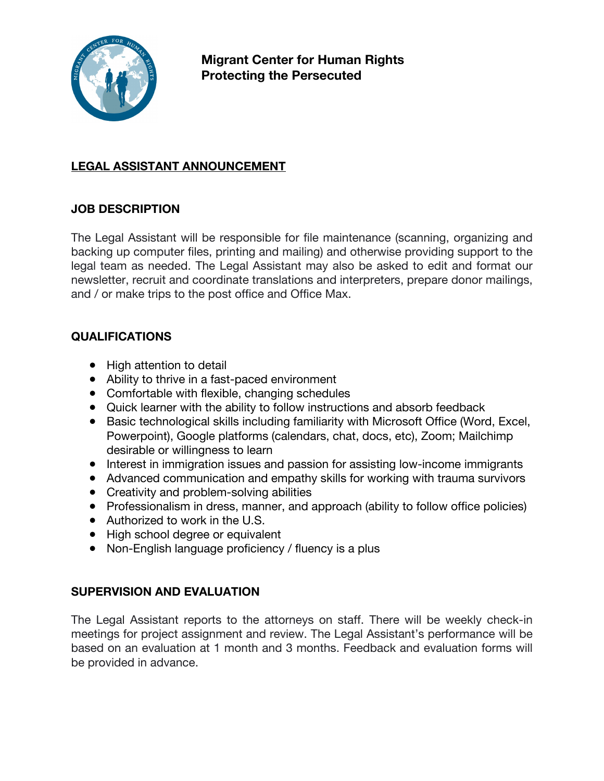

**Migrant Center for Human Rights Protecting the Persecuted**

## **LEGAL ASSISTANT ANNOUNCEMENT**

## **JOB DESCRIPTION**

The Legal Assistant will be responsible for file maintenance (scanning, organizing and backing up computer files, printing and mailing) and otherwise providing support to the legal team as needed. The Legal Assistant may also be asked to edit and format our newsletter, recruit and coordinate translations and interpreters, prepare donor mailings, and / or make trips to the post office and Office Max.

## **QUALIFICATIONS**

- High attention to detail
- Ability to thrive in a fast-paced environment
- Comfortable with flexible, changing schedules
- Quick learner with the ability to follow instructions and absorb feedback
- Basic technological skills including familiarity with Microsoft Office (Word, Excel, Powerpoint), Google platforms (calendars, chat, docs, etc), Zoom; Mailchimp desirable or willingness to learn
- Interest in immigration issues and passion for assisting low-income immigrants
- Advanced communication and empathy skills for working with trauma survivors
- Creativity and problem-solving abilities
- Professionalism in dress, manner, and approach (ability to follow office policies)
- Authorized to work in the U.S.
- High school degree or equivalent
- Non-English language proficiency / fluency is a plus

## **SUPERVISION AND EVALUATION**

The Legal Assistant reports to the attorneys on staff. There will be weekly check-in meetings for project assignment and review. The Legal Assistant's performance will be based on an evaluation at 1 month and 3 months. Feedback and evaluation forms will be provided in advance.